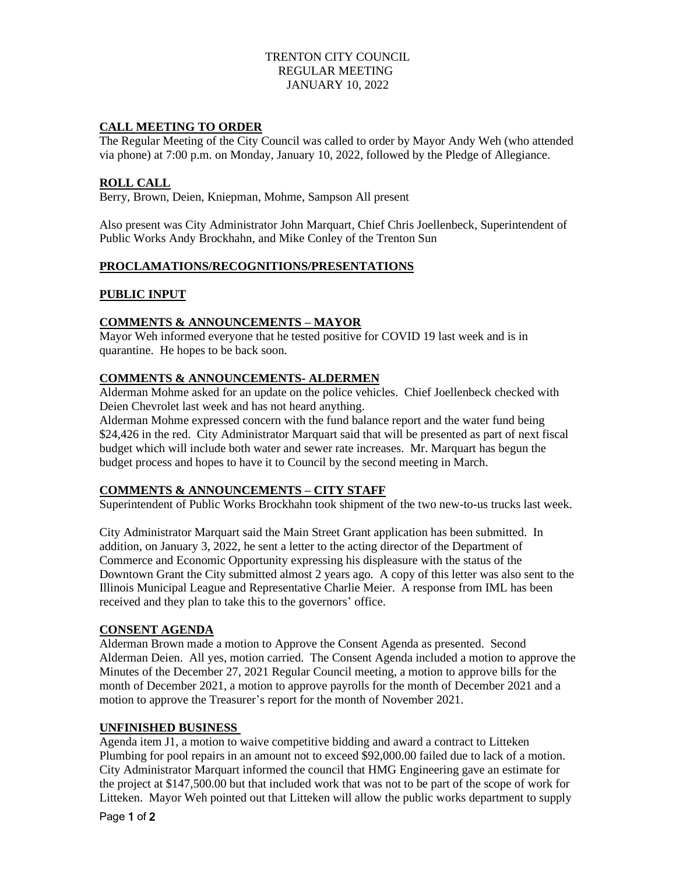### TRENTON CITY COUNCIL REGULAR MEETING JANUARY 10, 2022

## **CALL MEETING TO ORDER**

The Regular Meeting of the City Council was called to order by Mayor Andy Weh (who attended via phone) at 7:00 p.m. on Monday, January 10, 2022, followed by the Pledge of Allegiance.

## **ROLL CALL**

Berry, Brown, Deien, Kniepman, Mohme, Sampson All present

Also present was City Administrator John Marquart, Chief Chris Joellenbeck, Superintendent of Public Works Andy Brockhahn, and Mike Conley of the Trenton Sun

# **PROCLAMATIONS/RECOGNITIONS/PRESENTATIONS**

## **PUBLIC INPUT**

## **COMMENTS & ANNOUNCEMENTS – MAYOR**

Mayor Weh informed everyone that he tested positive for COVID 19 last week and is in quarantine. He hopes to be back soon.

## **COMMENTS & ANNOUNCEMENTS- ALDERMEN**

Alderman Mohme asked for an update on the police vehicles. Chief Joellenbeck checked with Deien Chevrolet last week and has not heard anything.

Alderman Mohme expressed concern with the fund balance report and the water fund being \$24,426 in the red. City Administrator Marquart said that will be presented as part of next fiscal budget which will include both water and sewer rate increases. Mr. Marquart has begun the budget process and hopes to have it to Council by the second meeting in March.

#### **COMMENTS & ANNOUNCEMENTS – CITY STAFF**

Superintendent of Public Works Brockhahn took shipment of the two new-to-us trucks last week.

City Administrator Marquart said the Main Street Grant application has been submitted. In addition, on January 3, 2022, he sent a letter to the acting director of the Department of Commerce and Economic Opportunity expressing his displeasure with the status of the Downtown Grant the City submitted almost 2 years ago. A copy of this letter was also sent to the Illinois Municipal League and Representative Charlie Meier. A response from IML has been received and they plan to take this to the governors' office.

#### **CONSENT AGENDA**

Alderman Brown made a motion to Approve the Consent Agenda as presented. Second Alderman Deien. All yes, motion carried. The Consent Agenda included a motion to approve the Minutes of the December 27, 2021 Regular Council meeting, a motion to approve bills for the month of December 2021, a motion to approve payrolls for the month of December 2021 and a motion to approve the Treasurer's report for the month of November 2021.

#### **UNFINISHED BUSINESS**

Agenda item J1, a motion to waive competitive bidding and award a contract to Litteken Plumbing for pool repairs in an amount not to exceed \$92,000.00 failed due to lack of a motion. City Administrator Marquart informed the council that HMG Engineering gave an estimate for the project at \$147,500.00 but that included work that was not to be part of the scope of work for Litteken. Mayor Weh pointed out that Litteken will allow the public works department to supply

Page 1 of 2